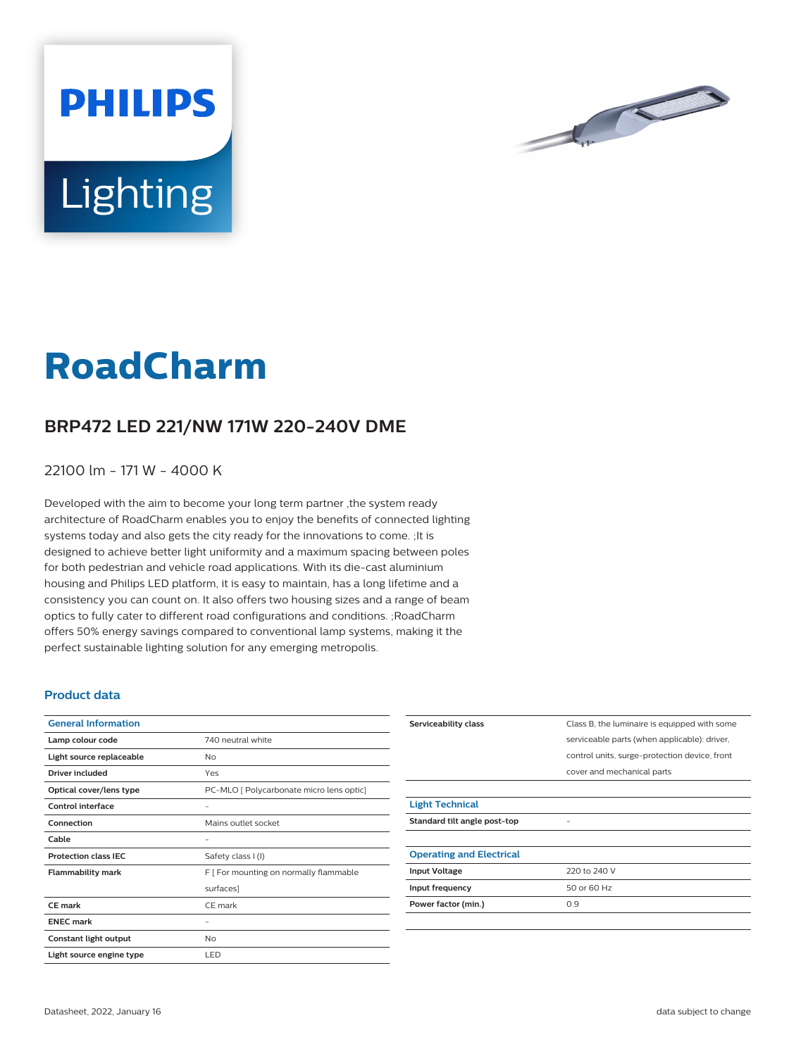



# **RoadCharm**

## **BRP472 LED 221/NW 171W 220-240V DME**

22100 lm - 171 W - 4000 K

Developed with the aim to become your long term partner ,the system ready architecture of RoadCharm enables you to enjoy the benefits of connected lighting systems today and also gets the city ready for the innovations to come. ;It is designed to achieve better light uniformity and a maximum spacing between poles for both pedestrian and vehicle road applications. With its die-cast aluminium housing and Philips LED platform, it is easy to maintain, has a long lifetime and a consistency you can count on. It also offers two housing sizes and a range of beam optics to fully cater to different road configurations and conditions. ;RoadCharm offers 50% energy savings compared to conventional lamp systems, making it the perfect sustainable lighting solution for any emerging metropolis.

#### **Product data**

| <b>General Information</b>  |                                          |
|-----------------------------|------------------------------------------|
| Lamp colour code            | 740 neutral white                        |
| Light source replaceable    | No                                       |
| Driver included             | Yes                                      |
| Optical cover/lens type     | PC-MLO [ Polycarbonate micro lens optic] |
| Control interface           |                                          |
| Connection                  | Mains outlet socket                      |
| Cable                       |                                          |
| <b>Protection class IEC</b> | Safety class I (I)                       |
| <b>Flammability mark</b>    | F [ For mounting on normally flammable   |
|                             | surfaces]                                |
| CF mark                     | CE mark                                  |
| <b>ENEC mark</b>            |                                          |
| Constant light output       | No                                       |
| Light source engine type    | LED                                      |

| Serviceability class            | Class B, the luminaire is equipped with some  |
|---------------------------------|-----------------------------------------------|
|                                 | serviceable parts (when applicable): driver,  |
|                                 | control units, surge-protection device, front |
|                                 | cover and mechanical parts                    |
|                                 |                                               |
| <b>Light Technical</b>          |                                               |
| Standard tilt angle post-top    |                                               |
|                                 |                                               |
| <b>Operating and Electrical</b> |                                               |
| <b>Input Voltage</b>            | 220 to 240 V                                  |
| Input frequency                 | 50 or 60 Hz                                   |
| Power factor (min.)             | 0.9                                           |
|                                 |                                               |